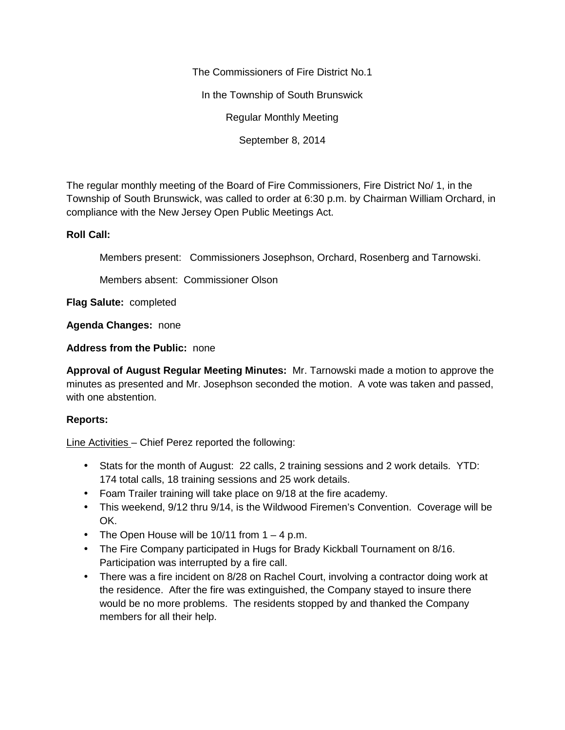The Commissioners of Fire District No.1

In the Township of South Brunswick

Regular Monthly Meeting

September 8, 2014

The regular monthly meeting of the Board of Fire Commissioners, Fire District No/ 1, in the Township of South Brunswick, was called to order at 6:30 p.m. by Chairman William Orchard, in compliance with the New Jersey Open Public Meetings Act.

## **Roll Call:**

Members present: Commissioners Josephson, Orchard, Rosenberg and Tarnowski.

Members absent: Commissioner Olson

**Flag Salute:** completed

**Agenda Changes:** none

**Address from the Public:** none

**Approval of August Regular Meeting Minutes:** Mr. Tarnowski made a motion to approve the minutes as presented and Mr. Josephson seconded the motion. A vote was taken and passed, with one abstention.

## **Reports:**

Line Activities – Chief Perez reported the following:

- Stats for the month of August: 22 calls, 2 training sessions and 2 work details. YTD: 174 total calls, 18 training sessions and 25 work details.
- Foam Trailer training will take place on 9/18 at the fire academy.
- This weekend, 9/12 thru 9/14, is the Wildwood Firemen's Convention. Coverage will be OK.
- The Open House will be  $10/11$  from  $1 4$  p.m.
- The Fire Company participated in Hugs for Brady Kickball Tournament on 8/16. Participation was interrupted by a fire call.
- There was a fire incident on 8/28 on Rachel Court, involving a contractor doing work at the residence. After the fire was extinguished, the Company stayed to insure there would be no more problems. The residents stopped by and thanked the Company members for all their help.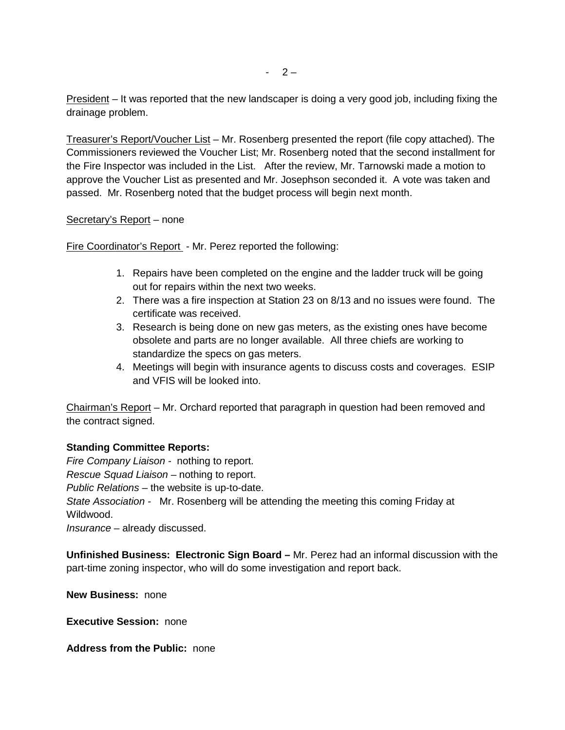President – It was reported that the new landscaper is doing a very good job, including fixing the drainage problem.

Treasurer's Report/Voucher List – Mr. Rosenberg presented the report (file copy attached). The Commissioners reviewed the Voucher List; Mr. Rosenberg noted that the second installment for the Fire Inspector was included in the List. After the review, Mr. Tarnowski made a motion to approve the Voucher List as presented and Mr. Josephson seconded it. A vote was taken and passed. Mr. Rosenberg noted that the budget process will begin next month.

## Secretary's Report – none

Fire Coordinator's Report - Mr. Perez reported the following:

- 1. Repairs have been completed on the engine and the ladder truck will be going out for repairs within the next two weeks.
- 2. There was a fire inspection at Station 23 on 8/13 and no issues were found. The certificate was received.
- 3. Research is being done on new gas meters, as the existing ones have become obsolete and parts are no longer available. All three chiefs are working to standardize the specs on gas meters.
- 4. Meetings will begin with insurance agents to discuss costs and coverages. ESIP and VFIS will be looked into.

Chairman's Report – Mr. Orchard reported that paragraph in question had been removed and the contract signed.

## **Standing Committee Reports:**

*Fire Company Liaison -* nothing to report. *Rescue Squad Liaison –* nothing to report. *Public Relations –* the website is up-to-date. *State Association -* Mr. Rosenberg will be attending the meeting this coming Friday at Wildwood.

*Insurance –* already discussed.

**Unfinished Business: Electronic Sign Board –** Mr. Perez had an informal discussion with the part-time zoning inspector, who will do some investigation and report back.

**New Business:** none

**Executive Session:** none

**Address from the Public:** none